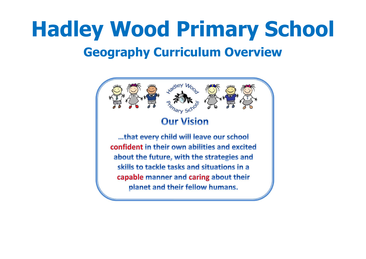# **Hadley Wood Primary School Geography Curriculum Overview**

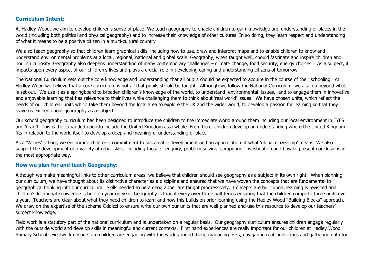#### **Curriculum Intent:**

At Hadley Wood, we aim to develop children's sense of place. We teach geography to enable children to gain knowledge and understanding of places in the world (including both political and physical geography) and to increase their knowledge of other cultures. In so doing, they learn respect and understanding of what it means to be a positive citizen in a multi-cultural country

We also teach geography so that children learn graphical skills, including how to use, draw and interpret maps and to enable children to know and understand environmental problems at a local, regional, national and global scale. Geography, when taught well, should fascinate and inspire children and nourish curiosity. Geography also deepens understanding of many contemporary challenges – climate change, food security, energy choices. As a subject, it impacts upon every aspect of our children's lives and plays a crucial role in developing caring and understanding citizens of tomorrow.

The National Curriculum sets out the core knowledge and understanding that all pupils should be expected to acquire in the course of their schooling. At Hadley Wood we believe that a core curriculum is not all that pupils should be taught. Although we follow the National Curriculum, we also go beyond what is set out. We use it as a springboard to broaden children's knowledge of the world, to understand environmental issues, and to engage them in innovative and enjoyable learning that has relevance to their lives while challenging them to think about 'real world' issues. We have chosen units, which reflect the needs of our children: units which take them beyond the local area to explore the UK and the wider world, to develop a passion for learning so that they leave us excited about geography as a subject.

Our school geography curriculum has been designed to introduce the children to the immediate world around them including our local environment in EYFS and Year 1. This is the expanded upon to include the United Kingdom as a whole. From here, children develop an understanding where the United Kingdom fits in relation to the world itself to develop a deep and meaningful understanding of place.

As a 'Values' school, we encourage children's commitment to sustainable development and an appreciation of what 'global citizenship' means. We also support the development of a variety of other skills, including those of enquiry, problem solving, computing, investigation and how to present conclusions in the most appropriate way.

#### **How we plan for and teach Geography:**

Although we make meaningful links to other curriculum areas, we believe that children should see geography as a subject in its own right. When planning our curriculum, we have thought about its distinctive character as a discipline and ensured that we have woven the concepts that are fundamental to geographical thinking into our curriculum. Skills needed to be a geographer are taught progressively. Concepts are built upon, learning is revisited and children's locational knowledge is built on year on year. Geography is taught every over three half terms ensuring that the children complete three units over a year. Teachers are clear about what they need children to learn and how this builds on prior learning using the Hadley Wood "Building Blocks" approach. We draw on the expertise of the scheme Oddizzi to ensure write our own our units that are well planned and use this resource to develop our teachers' subject knowledge.

Field work is a statutory part of the national curriculum and is undertaken on a regular basis. Our geography curriculum ensures children engage regularly with the outside world and develop skills in meaningful and current contexts. First hand experiences are really important for our children at Hadley Wood Primary School. Fieldwork ensures are children are engaging with the world around them, managing risks, navigating real landscapes and gathering data for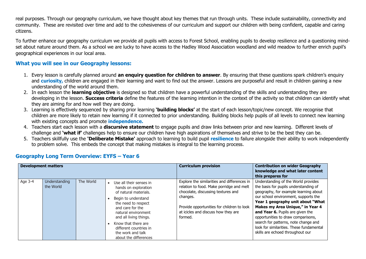real purposes. Through our geography curriculum, we have thought about key themes that run through units. These include sustainability, connectivity and community. These are revisited over time and add to the cohesiveness of our curriculum and support our children with being confident, capable and caring citizens.

To further enhance our geography curriculum we provide all pupils with access to Forest School, enabling pupils to develop resilience and a questioning mindset about nature around them. As a school we are lucky to have access to the Hadley Wood Association woodland and wild meadow to further enrich pupil's geographical experiences in our local area.

#### **What you will see in our Geography lessons:**

- 1. Every lesson is carefully planned around **an enquiry question for children to answer**. By ensuring that these questions spark children's enquiry and **curiosity,** children are engaged in their learning and want to find out the answer. Lessons are purposeful and result in children gaining a new understanding of the world around them.
- 2. In each lesson the **learning objective** is designed so that children have a powerful understanding of the skills and understanding they are developing in the lesson. **Success criteria** define the features of the learning intention in the context of the activity so that children can identify what they are aiming for and how well they are doing.
- 3. Learning is effectively sequenced by sharing prior learning **'building blocks'** at the start of each lesson/topic/new concept. We recognise that children are more likely to retain new learning if it connected to prior understanding. Building blocks help pupils of all levels to connect new learning with existing concepts and promote **independence.**
- 4. Teachers start each lesson with a **discursive statement** to engage pupils and draw links between prior and new learning. Different levels of challenge and **'what if'** challenges help to ensure our children have high aspirations of themselves and strive to be the best they can be.
- 5. Teachers skillfully use the **'Deliberate Mistake'** approach to learning to build pupil **resilience** to failure alongside their ability to work independently to problem solve. This embeds the concept that making mistakes is integral to the learning process.

| <b>Development matters</b> |                            |           |                                                                                                                                                                                                                                                                                            | <b>Curriculum provision</b>                                                                                                                                                                                                               | <b>Contribution on wider Geography</b><br>knowledge and what later content<br>this prepares for                                                                                                                                                                                                                                                                                                                                          |
|----------------------------|----------------------------|-----------|--------------------------------------------------------------------------------------------------------------------------------------------------------------------------------------------------------------------------------------------------------------------------------------------|-------------------------------------------------------------------------------------------------------------------------------------------------------------------------------------------------------------------------------------------|------------------------------------------------------------------------------------------------------------------------------------------------------------------------------------------------------------------------------------------------------------------------------------------------------------------------------------------------------------------------------------------------------------------------------------------|
| Age 3-4                    | Understanding<br>the World | The World | Use all their senses in<br>hands on exploration<br>of natural materials.<br>Begin to understand<br>the need to respect<br>and care for the<br>natural environment<br>and all living things.<br>Know that there are<br>different countries in<br>the work and talk<br>about the differences | Explore the similarities and differences in<br>relation to food. Make porridge and melt<br>chocolate, discussing textures and<br>changes.<br>Provide opportunities for children to look<br>at icicles and discuss how they are<br>formed. | Understanding of the World provides<br>the basis for pupils understanding of<br>geography, for example learning about<br>our school environment, supports the<br>Year 1 geography unit about "What<br>Makes my Area Unique," in Year 4<br>and Year 6. Pupils are given the<br>opportunities to draw comparisons,<br>search for patterns, note change and<br>look for similarities. These fundamental<br>skills are echoed throughout our |

### **Geography Long Term Overview: EYFS – Year 6**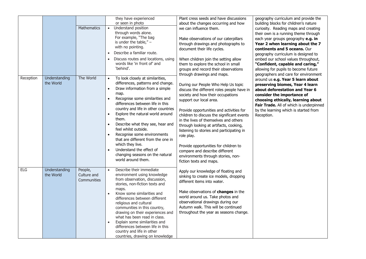|            |                            | <b>Mathematics</b>                           | they have experienced<br>or seen in photo<br>Understand position<br>$\bullet$<br>through words alone.<br>For example, "The bag<br>is under the table," $-$<br>with no pointing.<br>Describe a familiar route.<br>Discuss routes and locations, using<br>words like 'in front of' and<br>'behind'.                                                                                                                                                                                                                                                                                     | Plant cress seeds and have discussions<br>about the changes occurring and how<br>we can influence them.<br>Make observations of our caterpillars<br>through drawings and photographs to<br>document their life cycles.<br>When children join the setting allow<br>them to explore the school in small<br>groups and record their observations<br>through drawings and maps.                                                                                                                                                           | geography curriculum and provide the<br>building blocks for children's nature<br>curiosity. Reading maps and creating<br>their own is a running theme through<br>each year groups geography e.g. in<br>Year 2 when learning about the 7<br>continents and 5 oceans. Our<br>geography curriculum is designed to<br>embed our school values throughout,<br>"Confident, capable and caring,"<br>allowing for pupils to become future<br>geographers and care for environment |
|------------|----------------------------|----------------------------------------------|---------------------------------------------------------------------------------------------------------------------------------------------------------------------------------------------------------------------------------------------------------------------------------------------------------------------------------------------------------------------------------------------------------------------------------------------------------------------------------------------------------------------------------------------------------------------------------------|---------------------------------------------------------------------------------------------------------------------------------------------------------------------------------------------------------------------------------------------------------------------------------------------------------------------------------------------------------------------------------------------------------------------------------------------------------------------------------------------------------------------------------------|---------------------------------------------------------------------------------------------------------------------------------------------------------------------------------------------------------------------------------------------------------------------------------------------------------------------------------------------------------------------------------------------------------------------------------------------------------------------------|
| Reception  | Understanding<br>the World | The World                                    | To look closely at similarities,<br>$\bullet$<br>differences, patterns and change.<br>Draw information from a simple<br>$\bullet$<br>map.<br>Recognise some similarities and<br>$\bullet$<br>differences between life in this<br>country and life in other countries<br>Explore the natural world around<br>$\bullet$<br>them.<br>Describe what they see, hear and<br>feel whilst outside.<br>Recognise some environments<br>that are different from the one in<br>which they live.<br>Understand the effect of<br>$\bullet$<br>changing seasons on the natural<br>world around them. | During our People Who Help Us topic<br>discuss the different roles people have in<br>society and how their occupations<br>support our local area.<br>Provide opportunities and activities for<br>children to discuss the significant events<br>in the lives of themselves and others<br>through looking at artifacts, cooking,<br>listening to stories and participating in<br>role play.<br>Provide opportunities for children to<br>compare and describe different<br>environments through stories, non-<br>fiction texts and maps. | around us e.g. Year 5 learn about<br>preserving biomes, Year 4 learn<br>about deforestation and Year 6<br>consider the importance of<br>choosing ethically, learning about<br>Fair Trade. All of which is underpinned<br>by the learning which is started from<br>Reception.                                                                                                                                                                                              |
| <b>ELG</b> | Understanding<br>the World | People,<br>Culture and<br><b>Communities</b> | Describe their immediate<br>$\bullet$<br>environment using knowledge<br>from observation, discussion,<br>stories, non-fiction texts and<br>maps.<br>Know some similarities and<br>differences between different<br>religious and cultural<br>communities in this country,<br>drawing on their experiences and<br>what has been read in class.<br>Explain some similarities and<br>$\bullet$<br>differences between life in this<br>country and life in other<br>countries, drawing on knowledge                                                                                       | Apply our knowledge of floating and<br>sinking to create ice models, dropping<br>different items into water.<br>Make observations of changes in the<br>world around us. Take photos and<br>observational drawings during our<br>Autumn walk. This will be continued<br>throughout the year as seasons change.                                                                                                                                                                                                                         |                                                                                                                                                                                                                                                                                                                                                                                                                                                                           |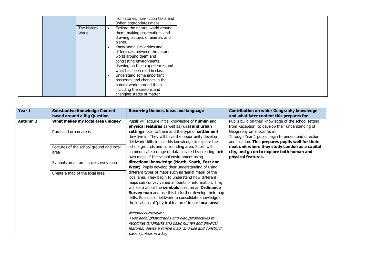|                      | from stories, non-fiction texts and<br>(when appropriate) maps.                                                                                                                                                                                                                                                                                                                                                    |
|----------------------|--------------------------------------------------------------------------------------------------------------------------------------------------------------------------------------------------------------------------------------------------------------------------------------------------------------------------------------------------------------------------------------------------------------------|
| The Natural<br>World | Explore the natural world around<br>$\bullet$<br>them, making observations and<br>drawing pictures of animals and<br>plants.<br>Know some similarities and<br>differences between the natural<br>world around them and<br>contrasting environments,<br>drawing on their experiences and<br>what has been read in class.<br>Understand some important<br>processes and changes in the<br>natural world around them, |
|                      | including the seasons and<br>changing states of matter                                                                                                                                                                                                                                                                                                                                                             |

| Year 1          | <b>Substantive Knowledge Content</b>    | Recurring themes, ideas and language                                                                      | <b>Contribution on wider Geography knowledge</b>      |
|-----------------|-----------------------------------------|-----------------------------------------------------------------------------------------------------------|-------------------------------------------------------|
|                 | based around a Big Question             |                                                                                                           | and what later content this prepares for              |
| <b>Autumn 2</b> | What makes my local area unique?        | Pupils will acquire initial knowledge of human and                                                        | Pupils build on their knowledge of the school setting |
|                 |                                         | physical features as well as rural and urban                                                              | from Reception, to develop their understanding of     |
|                 | Rural and urban areas                   | settings local to them and the type of settlement                                                         | Geography on a local level.                           |
|                 |                                         | they live in. They will have the opportunity develop                                                      | Through Year 1 pupils begin to understand direction   |
|                 |                                         | fieldwork skills to use this knowledge to explore the                                                     | and location. This prepares pupils well for their     |
|                 | Features of the school ground and local | school grounds and surrounding area. Pupils will                                                          | next unit where they study London as a capital        |
|                 | area                                    | communicate a range of data collated by creating their                                                    | city, and go on to explore both human and             |
|                 |                                         | own maps of the school environment using                                                                  | physical features.                                    |
|                 | Symbols on an ordinance survey map      | directional knowledge (North, South, East and                                                             |                                                       |
|                 |                                         | West). Pupils develop their understanding of using                                                        |                                                       |
|                 | Create a map of the local area          | different types of maps such as 'aerial maps' of the                                                      |                                                       |
|                 |                                         | local area. They begin to understand how different                                                        |                                                       |
|                 |                                         | maps can convey varied amounts of information. They                                                       |                                                       |
|                 |                                         | will learn about the symbols used on an Ordinance<br>Survey map and use this to further develop their map |                                                       |
|                 |                                         | skills. Pupils use fieldwork to consolidate knowledge of                                                  |                                                       |
|                 |                                         | the locations of 'physical features' in our local area.                                                   |                                                       |
|                 |                                         |                                                                                                           |                                                       |
|                 |                                         | National curriculum:                                                                                      |                                                       |
|                 |                                         | >use aerial photographs and plan perspectives to                                                          |                                                       |
|                 |                                         | recognise landmarks and basic human and physical                                                          |                                                       |
|                 |                                         | features; devise a simple map; and use and construct                                                      |                                                       |
|                 |                                         | basic symbols in a key                                                                                    |                                                       |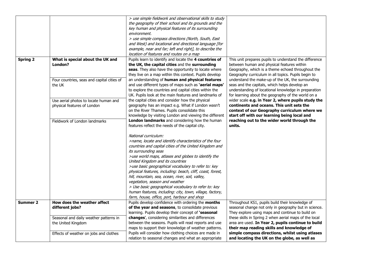|                 |                                            | > use simple fieldwork and observational skills to study                                                      |                                                                                                 |
|-----------------|--------------------------------------------|---------------------------------------------------------------------------------------------------------------|-------------------------------------------------------------------------------------------------|
|                 |                                            | the geography of their school and its grounds and the                                                         |                                                                                                 |
|                 |                                            | key human and physical features of its surrounding<br>environment.                                            |                                                                                                 |
|                 |                                            | > use simple compass directions (North, South, East                                                           |                                                                                                 |
|                 |                                            | and West) and locational and directional language [for                                                        |                                                                                                 |
|                 |                                            | example, near and far; left and right], to describe the                                                       |                                                                                                 |
|                 |                                            | location of features and routes on a map                                                                      |                                                                                                 |
| <b>Spring 2</b> | What is special about the UK and           | Pupils learn to identify and locate the 4 countries of                                                        | This unit prepares pupils to understand the difference                                          |
|                 | London?                                    | the UK, the capital cities and the surrounding                                                                | between human and physical features within                                                      |
|                 |                                            | seas. They also have the opportunity to locate where                                                          | Geography, which is a theme echoed throughout the                                               |
|                 |                                            | they live on a map within this context. Pupils develop                                                        | Geography curriculum in all topics. Pupils begin to                                             |
|                 | Four countries, seas and capital cities of | an understanding of human and physical features                                                               | understand the make-up of the UK, the surrounding                                               |
|                 | the UK                                     | and use different types of maps such as 'aerial maps'                                                         | seas and the capitals, which helps develop an                                                   |
|                 |                                            | to explore the countries and capital cities within the                                                        | understanding of locational knowledge in preparation                                            |
|                 |                                            | UK. Pupils look at the main features and landmarks of                                                         | for learning about the geography of the world on a                                              |
|                 | Use aerial photos to locate human and      | the capital cities and consider how the physical                                                              | wider scale e.g. in Year 2, where pupils study the                                              |
|                 | physical features of London                | geography has an impact e.g. What if London wasn't                                                            | continents and oceans. This unit sets the                                                       |
|                 |                                            | on the River Thames. Pupils consolidate this                                                                  | context of our Geography curriculum where we                                                    |
|                 |                                            | knowledge by visiting London and viewing the different                                                        | start off with our learning being local and                                                     |
|                 | Fieldwork of London landmarks              | London landmarks and considering how the human                                                                | reaching out to the wider world through the                                                     |
|                 |                                            | features reflect the needs of the capital city.                                                               | units.                                                                                          |
|                 |                                            | National curriculum:                                                                                          |                                                                                                 |
|                 |                                            | >name, locate and identify characteristics of the four                                                        |                                                                                                 |
|                 |                                            | countries and capital cities of the United Kingdom and                                                        |                                                                                                 |
|                 |                                            | its surrounding seas                                                                                          |                                                                                                 |
|                 |                                            | >use world maps, atlases and globes to identify the                                                           |                                                                                                 |
|                 |                                            | United Kingdom and its countries                                                                              |                                                                                                 |
|                 |                                            | >use basic geographical vocabulary to refer to: key                                                           |                                                                                                 |
|                 |                                            | physical features, including: beach, cliff, coast, forest,                                                    |                                                                                                 |
|                 |                                            | hill, mountain, sea, ocean, river, soil, valley,                                                              |                                                                                                 |
|                 |                                            | vegetation, season and weather                                                                                |                                                                                                 |
|                 |                                            | > Use basic geographical vocabulary to refer to: key                                                          |                                                                                                 |
|                 |                                            | human features, including: city, town, village, factory,                                                      |                                                                                                 |
|                 |                                            | farm, house, office, port, harbour and shop                                                                   |                                                                                                 |
| <b>Summer 2</b> | How does the weather affect                | Pupils develop confidence with ordering the months                                                            | Throughout KS1, pupils build their knowledge of                                                 |
|                 | different jobs?                            | of the year and seasons, to consolidate previous                                                              | seasonal change not only in geography but in science.                                           |
|                 |                                            | learning. Pupils develop their concept of 'seasonal                                                           | They explore using maps and continue to build on                                                |
|                 | Seasonal and daily weather patterns in     | changes', considering similarities and differences                                                            | these skills in Spring 2 when aerial maps of the local                                          |
|                 | the United Kingdom                         | between the seasons. Pupils will read reports and use<br>maps to support their knowledge of weather patterns. | area are used. In Year 2, pupils continue to build<br>their map reading skills and knowledge of |
|                 |                                            | Pupils will consider how clothing choices are made in                                                         | simple compass directions, whilst using atlases                                                 |
|                 | Effects of weather on jobs and clothes     | relation to seasonal changes and what an appropriate                                                          | and locating the UK on the globe, as well as                                                    |
|                 |                                            |                                                                                                               |                                                                                                 |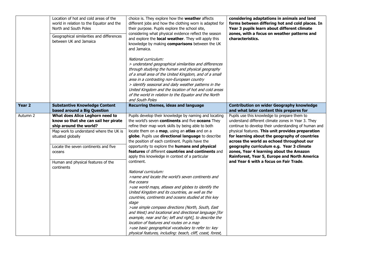|                   | Location of hot and cold areas of the<br>world in relation to the Equator and the<br>North and South Poles<br>Geographical similarities and differences<br>between UK and Jamaica                                                                                      | choice is. They explore how the weather affects<br>different jobs and how the clothing worn is adapted for<br>their purpose. Pupils explore the school site,<br>considering what physical evidence reflect the season<br>and explore the local weather. They will apply this<br>knowledge by making comparisons between the UK<br>and Jamaica.<br>National curriculum:<br>> understand geographical similarities and differences<br>through studying the human and physical geography<br>of a small area of the United Kingdom, and of a small<br>area in a contrasting non-European country<br>> identify seasonal and daily weather patterns in the<br>United Kingdom and the location of hot and cold areas<br>of the world in relation to the Equator and the North<br>and South Poles                                                                                                                                                                                                                                                                                                                              | considering adaptations in animals and land<br>forms between differing hot and cold places. In<br>Year 3 pupils learn about different climate<br>zones, with a focus on weather patterns and<br>characteristics.                                                                                                                                                                                                                                                                               |
|-------------------|------------------------------------------------------------------------------------------------------------------------------------------------------------------------------------------------------------------------------------------------------------------------|-------------------------------------------------------------------------------------------------------------------------------------------------------------------------------------------------------------------------------------------------------------------------------------------------------------------------------------------------------------------------------------------------------------------------------------------------------------------------------------------------------------------------------------------------------------------------------------------------------------------------------------------------------------------------------------------------------------------------------------------------------------------------------------------------------------------------------------------------------------------------------------------------------------------------------------------------------------------------------------------------------------------------------------------------------------------------------------------------------------------------|------------------------------------------------------------------------------------------------------------------------------------------------------------------------------------------------------------------------------------------------------------------------------------------------------------------------------------------------------------------------------------------------------------------------------------------------------------------------------------------------|
| Year <sub>2</sub> | <b>Substantive Knowledge Content</b><br>based around a Big Question                                                                                                                                                                                                    | Recurring themes, ideas and language                                                                                                                                                                                                                                                                                                                                                                                                                                                                                                                                                                                                                                                                                                                                                                                                                                                                                                                                                                                                                                                                                    | <b>Contribution on wider Geography knowledge</b><br>and what later content this prepares for                                                                                                                                                                                                                                                                                                                                                                                                   |
| Autumn 2          | What does Alice Leghorn need to<br>know so that she can sail her pirate<br>ship around the world?<br>Map work to understand where the UK is<br>situated globally<br>Locate the seven continents and five<br>oceans<br>Human and physical features of the<br>continents | Pupils develop their knowledge by naming and locating<br>the world's seven continents and five oceans They<br>refine their map work skills by being able to both<br>locate them on a map, using an atlas and on a<br>globe. Pupils use directional language to describe<br>the position of each continent. Pupils have the<br>opportunity to explore the humans and physical<br>features of different countries and continents and<br>apply this knowledge in context of a particular<br>continent.<br>National curriculum:<br>>name and locate the world's seven continents and<br>five oceans<br>>use world maps, atlases and globes to identify the<br>United Kingdom and its countries, as well as the<br>countries, continents and oceans studied at this key<br>stage<br>>use simple compass directions (North, South, East<br>and West) and locational and directional language [for<br>example, near and far; left and right], to describe the<br>location of features and routes on a map<br>>use basic geographical vocabulary to refer to: key<br>physical features, including: beach, cliff, coast, forest, | Pupils use this knowledge to prepare them to<br>understand different climate zones in Year 3. They<br>continue to develop their understanding of human and<br>physical features. This unit provides preparation<br>for learning about the geography of countries<br>across the world as echoed throughout our<br>geography curriculum e.g. Year 3 climate<br>zones, Year 4 learning about the Amazon<br>Rainforest, Year 5, Europe and North America<br>and Year 6 with a focus on Fair Trade. |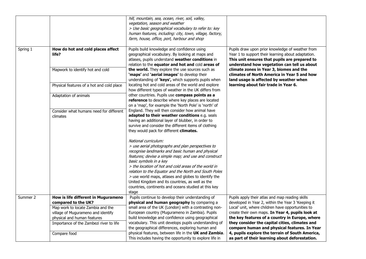|          |                                                     | hill, mountain, sea, ocean, river, soil, valley,<br>vegetation, season and weather<br>> Use basic geographical vocabulary to refer to: key<br>human features, including: city, town, village, factory,<br>farm, house, office, port, harbour and shop                                                                            |                                                                                                                                                                                                        |
|----------|-----------------------------------------------------|----------------------------------------------------------------------------------------------------------------------------------------------------------------------------------------------------------------------------------------------------------------------------------------------------------------------------------|--------------------------------------------------------------------------------------------------------------------------------------------------------------------------------------------------------|
| Spring 1 | How do hot and cold places affect<br>life?          | Pupils build knowledge and confidence using<br>geographical vocabulary. By looking at maps and<br>atlases, pupils understand weather conditions in<br>relation to the equator and hot and cold areas of                                                                                                                          | Pupils draw upon prior knowledge of weather from<br>Year 1 to support their learning about adaptation.<br>This unit ensures that pupils are prepared to<br>understand how vegetation can tell us about |
|          | Mapwork to identify hot and cold                    | the world. They explore the use sources such as<br>'maps' and 'aerial images' to develop their<br>understanding of 'keys', which supports pupils when                                                                                                                                                                            | climate zones in Year 3, biomes and the<br>climates of North America in Year 5 and how<br>land usage is affected by weather when                                                                       |
|          | Physical features of a hot and cold place           | locating hot and cold areas of the world and explore<br>how different types of weather in the UK differs from                                                                                                                                                                                                                    | learning about fair trade in Year 6.                                                                                                                                                                   |
|          | Adaptation of animals                               | other countries. Pupils use compass points as a<br>reference to describe where key places are located<br>on a 'map', for example the 'North Pole' is 'north' of                                                                                                                                                                  |                                                                                                                                                                                                        |
|          | Consider what humans need for different<br>climates | England. They will then consider how animal have<br>adapted to their weather conditions e.g. seals<br>having an additional layer of blubber, in order to<br>survive and consider the different items of clothing<br>they would pack for different climates.                                                                      |                                                                                                                                                                                                        |
|          |                                                     | National curriculum:<br>> use aerial photographs and plan perspectives to<br>recognise landmarks and basic human and physical<br>features; devise a simple map; and use and construct<br>basic symbols in a key<br>> the location of hot and cold areas of the world in<br>relation to the Equator and the North and South Poles |                                                                                                                                                                                                        |
|          |                                                     | > use world maps, atlases and globes to identify the<br>United Kingdom and its countries, as well as the<br>countries, continents and oceans studied at this key<br>stage                                                                                                                                                        |                                                                                                                                                                                                        |
| Summer 2 | How is life different in Mugurameno                 | Pupils continue to develop their understanding of                                                                                                                                                                                                                                                                                | Pupils apply their atlas and map reading skills                                                                                                                                                        |
|          | compared to the UK?                                 | physical and human geography by comparing a                                                                                                                                                                                                                                                                                      | developed in Year 2, within the Year 3 'Keeping it                                                                                                                                                     |
|          | Map work to locate Zambia and the                   | small area of the UK (London) with a contrasting non-                                                                                                                                                                                                                                                                            | Local' unit, where children have opportunities to                                                                                                                                                      |
|          | village of Mugurameno and identify                  | European country (Mugurameno in Zambia). Pupils                                                                                                                                                                                                                                                                                  | create their own maps. In Year 4, pupils look at                                                                                                                                                       |
|          | physical and human features                         | build knowledge and confidence using geographical                                                                                                                                                                                                                                                                                | the key features of a country in Europe, where                                                                                                                                                         |
|          | Importance of the Zambezi river to life             | vocabulary. This unit develops pupils understanding of<br>the geographical differences, exploring human and                                                                                                                                                                                                                      | they consider the capital cities, climates and<br>compare human and physical features. In Year                                                                                                         |
|          | Compare food                                        | physical features, between life in the UK and Zambia.<br>This includes having the opportunity to explore life in                                                                                                                                                                                                                 | 4, pupils explore the terrain of South America,<br>as part of their learning about deforestation.                                                                                                      |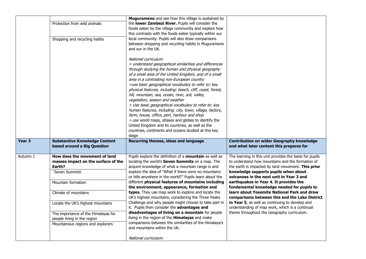|                   |                                                                     | <b>Mugurameno</b> and see how this village is sustained by                                                                                                                                                                                                                                                                                                                                                                                                                                                                                                                                                                                                                                                                                                                                            |                                                                                                        |
|-------------------|---------------------------------------------------------------------|-------------------------------------------------------------------------------------------------------------------------------------------------------------------------------------------------------------------------------------------------------------------------------------------------------------------------------------------------------------------------------------------------------------------------------------------------------------------------------------------------------------------------------------------------------------------------------------------------------------------------------------------------------------------------------------------------------------------------------------------------------------------------------------------------------|--------------------------------------------------------------------------------------------------------|
|                   | Protection from wild animals                                        | the lower Zambezi River. Pupils will consider the<br>foods eaten by the village community and explore how<br>this contrasts with the foods eaten typically within our                                                                                                                                                                                                                                                                                                                                                                                                                                                                                                                                                                                                                                 |                                                                                                        |
|                   | Shopping and recycling habits                                       | local community. Pupils will also draw comparisons<br>between shopping and recycling habits in Mugurameno<br>and our in the UK.                                                                                                                                                                                                                                                                                                                                                                                                                                                                                                                                                                                                                                                                       |                                                                                                        |
|                   |                                                                     | National curriculum:<br>> understand geographical similarities and differences<br>through studying the human and physical geography<br>of a small area of the United Kingdom, and of a small<br>area in a contrasting non-European country<br>>use basic geographical vocabulary to refer to: key<br>physical features, including: beach, cliff, coast, forest,<br>hill, mountain, sea, ocean, river, soil, valley,<br>vegetation, season and weather<br>> Use basic geographical vocabulary to refer to: key<br>human features, including: city, town, village, factory,<br>farm, house, office, port, harbour and shop<br>> use world maps, atlases and globes to identify the<br>United Kingdom and its countries, as well as the<br>countries, continents and oceans studied at this key<br>stage |                                                                                                        |
| Year <sub>3</sub> | <b>Substantive Knowledge Content</b><br>based around a Big Question | Recurring themes, ideas and language                                                                                                                                                                                                                                                                                                                                                                                                                                                                                                                                                                                                                                                                                                                                                                  | <b>Contribution on wider Geography knowledge</b><br>and what later content this prepares for           |
| Autumn 1          | How does the movement of land                                       | Pupils explore the definition of a mountain as well as                                                                                                                                                                                                                                                                                                                                                                                                                                                                                                                                                                                                                                                                                                                                                | The learning in this unit provides the basis for pupils                                                |
|                   | masses impact on the surface of the<br>Earth?                       | locating the world's Seven Summits on a map. The<br>acquire knowledge of what a mountain range is and                                                                                                                                                                                                                                                                                                                                                                                                                                                                                                                                                                                                                                                                                                 | to understand how mountains and the formation of<br>the earth is impacted by land movement. This prior |
|                   | 'Seven Summits'                                                     | explore the idea of "What if there were no mountains<br>or hills anywhere in the world?" Pupils learn about the                                                                                                                                                                                                                                                                                                                                                                                                                                                                                                                                                                                                                                                                                       | knowledge supports pupils when about<br>volcanoes in the next unit in Year 3 and                       |
|                   | Mountain formation                                                  | different physical features of mountains including<br>the environment, appearance, formation and                                                                                                                                                                                                                                                                                                                                                                                                                                                                                                                                                                                                                                                                                                      | earthquakes in Year 4. It provides the<br>fundamental knowledge needed for pupils to                   |
|                   | Climate of mountains                                                | types. They use map work to explore and locate the<br>UK's highest mountains, considering the Three Peaks                                                                                                                                                                                                                                                                                                                                                                                                                                                                                                                                                                                                                                                                                             | learn about Yosemite National Park and draw<br>comparisons between this and the Lake District          |
|                   | Locate the UK's highest mountains                                   | Challenge and why people might choose to take part in<br>it. Pupils then consider the advantages and                                                                                                                                                                                                                                                                                                                                                                                                                                                                                                                                                                                                                                                                                                  | in Year 5, as well as continuing to develop and<br>understanding of map work, which is a continual     |
|                   | The importance of the Himalayas for                                 | disadvantages of living on a mountain for people                                                                                                                                                                                                                                                                                                                                                                                                                                                                                                                                                                                                                                                                                                                                                      | theme throughout the Geography curriculum.                                                             |
|                   | people living in the region                                         | living in the region of the Himalayas and make<br>comparisons between the similarities of the Himalaya's                                                                                                                                                                                                                                                                                                                                                                                                                                                                                                                                                                                                                                                                                              |                                                                                                        |
|                   | Mountainous regions and explorers                                   | and mountains within the UK.                                                                                                                                                                                                                                                                                                                                                                                                                                                                                                                                                                                                                                                                                                                                                                          |                                                                                                        |
|                   |                                                                     | National curriculum:                                                                                                                                                                                                                                                                                                                                                                                                                                                                                                                                                                                                                                                                                                                                                                                  |                                                                                                        |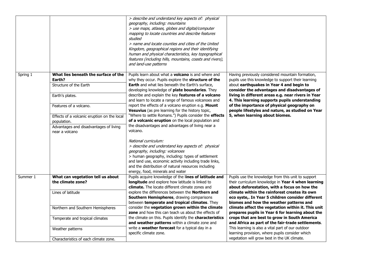|          |                                                                                                                                                                                                                                                 | > describe and understand key aspects of: physical<br>geography, including: mountains<br>> use maps, atlases, globes and digital/computer<br>mapping to locate countries and describe features<br>studied<br>> name and locate counties and cities of the United<br>Kingdom, geographical regions and their identifying<br>human and physical characteristics, key topographical<br>features (including hills, mountains, coasts and rivers),<br>and land-use patterns                                                                                                                                                                           |                                                                                                                                                                                                                                                                                                                                                                                                                                                 |
|----------|-------------------------------------------------------------------------------------------------------------------------------------------------------------------------------------------------------------------------------------------------|--------------------------------------------------------------------------------------------------------------------------------------------------------------------------------------------------------------------------------------------------------------------------------------------------------------------------------------------------------------------------------------------------------------------------------------------------------------------------------------------------------------------------------------------------------------------------------------------------------------------------------------------------|-------------------------------------------------------------------------------------------------------------------------------------------------------------------------------------------------------------------------------------------------------------------------------------------------------------------------------------------------------------------------------------------------------------------------------------------------|
| Spring 1 | What lies beneath the surface of the<br>Earth?<br>Structure of the Earth<br>Earth's plates.<br>Features of a volcano.<br>Effects of a volcanic eruption on the local<br>population.<br>Advantages and disadvantages of living<br>near a volcano | Pupils learn about what a volcano is and where and<br>why they occur. Pupils explore the structure of the<br>Earth and what lies beneath the Earth's surface,<br>developing knowledge of plate boundaries. They<br>describe and explain the key features of a volcano<br>and learn to locate a range of famous volcanoes and<br>report the effects of a volcano eruption e.g. Mount<br>Vesuvius (as pre learning for the history topic,<br>"Where to settle Romans.") Pupils consider the effects<br>of a volcanic eruption on the local population and<br>the disadvantages and advantages of living near a<br>volcano.<br>National curriculum: | Having previously considered mountain formation,<br>pupils use this knowledge to support their learning<br>about earthquakes in Year 4 and begin to<br>consider the advantages and disadvantages of<br>living in different areas e.g. near rivers in Year<br>4. This learning supports pupils understanding<br>of the importance of physical geography on<br>people lifestyles and nature, as studied on Year<br>5, when learning about biomes. |
|          |                                                                                                                                                                                                                                                 | > describe and understand key aspects of: physical<br>geography, including: volcanoes<br>> human geography, including: types of settlement<br>and land use, economic activity including trade links,<br>and the distribution of natural resources including<br>energy, food, minerals and water                                                                                                                                                                                                                                                                                                                                                  |                                                                                                                                                                                                                                                                                                                                                                                                                                                 |
| Summer 1 | What can vegetation tell us about<br>the climate zone?                                                                                                                                                                                          | Pupils acquire knowledge of the lines of latitude and<br>longitude and explore how latitude is linked to<br>climate. The locate different climate zones and                                                                                                                                                                                                                                                                                                                                                                                                                                                                                      | Pupils use the knowledge from this unit to support<br>their curriculum knowledge in Year 4 when learning<br>about deforestation, with a focus on how the                                                                                                                                                                                                                                                                                        |
|          | Lines of latitude                                                                                                                                                                                                                               | explore the differences between the <b>Northern and</b><br>Southern Hemispheres, drawing comparisons<br>between temperate and tropical climates. They                                                                                                                                                                                                                                                                                                                                                                                                                                                                                            | climate within the rainforest creates its own<br>eco syste,. In Year 5 children consider different<br>biomes and how the weather patterns and                                                                                                                                                                                                                                                                                                   |
|          | Northern and Southern Hemispheres                                                                                                                                                                                                               | consider the vegetation grown within the climate<br>zone and how this can teach us about the effects of                                                                                                                                                                                                                                                                                                                                                                                                                                                                                                                                          | climate affect the vegetation within it. This unit<br>prepares pupils in Year 6 for learning about the                                                                                                                                                                                                                                                                                                                                          |
|          | Temperate and tropical climates                                                                                                                                                                                                                 | the climate on this. Pupils identify the characteristics<br>and weather patterns within a climate zone and<br>write a weather forecast for a typical day in a                                                                                                                                                                                                                                                                                                                                                                                                                                                                                    | crops that are best to grow in South America<br>and Africa as part of the fair-trade settlements.<br>This learning is also a vital part of our outdoor                                                                                                                                                                                                                                                                                          |
|          | Weather patterns                                                                                                                                                                                                                                | specific climate zone.                                                                                                                                                                                                                                                                                                                                                                                                                                                                                                                                                                                                                           | learning provision, where pupils consider which<br>vegetation will grow best in the UK climate.                                                                                                                                                                                                                                                                                                                                                 |
|          | Characteristics of each climate zone.                                                                                                                                                                                                           |                                                                                                                                                                                                                                                                                                                                                                                                                                                                                                                                                                                                                                                  |                                                                                                                                                                                                                                                                                                                                                                                                                                                 |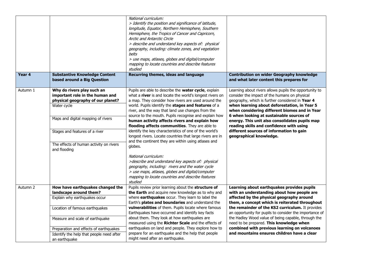|          |                                                                                                                                                                                                                                                      | National curriculum:<br>> Identify the position and significance of latitude,<br>longitude, Equator, Northern Hemisphere, Southern<br>Hemisphere, the Tropics of Cancer and Capricorn,<br><b>Arctic and Antarctic Circle</b><br>> describe and understand key aspects of: physical<br>geography, including: climate zones, and vegetation<br>belts<br>> use maps, atlases, globes and digital/computer<br>mapping to locate countries and describe features<br>studied                                                                                                                                                                                                                                                                                                                                                                                                                        |                                                                                                                                                                                                                                                                                                                                                                                                                                                                               |
|----------|------------------------------------------------------------------------------------------------------------------------------------------------------------------------------------------------------------------------------------------------------|-----------------------------------------------------------------------------------------------------------------------------------------------------------------------------------------------------------------------------------------------------------------------------------------------------------------------------------------------------------------------------------------------------------------------------------------------------------------------------------------------------------------------------------------------------------------------------------------------------------------------------------------------------------------------------------------------------------------------------------------------------------------------------------------------------------------------------------------------------------------------------------------------|-------------------------------------------------------------------------------------------------------------------------------------------------------------------------------------------------------------------------------------------------------------------------------------------------------------------------------------------------------------------------------------------------------------------------------------------------------------------------------|
| Year 4   | <b>Substantive Knowledge Content</b><br>based around a Big Question                                                                                                                                                                                  | Recurring themes, ideas and language                                                                                                                                                                                                                                                                                                                                                                                                                                                                                                                                                                                                                                                                                                                                                                                                                                                          | <b>Contribution on wider Geography knowledge</b><br>and what later content this prepares for                                                                                                                                                                                                                                                                                                                                                                                  |
| Autumn 1 | Why do rivers play such an<br>important role in the human and<br>physical geography of our planet?<br>Water cycle<br>Maps and digital mapping of rivers<br>Stages and features of a river<br>The effects of human activity on rivers<br>and flooding | Pupils are able to describe the water cycle, explain<br>what a river is and locate the world's longest rivers on<br>a map. They consider how rivers are used around the<br>world. Pupils identify the stages and features of a<br>river, and the way that land use changes from the<br>source to the mouth. Pupils recognise and explain how<br>human activity affects rivers and explain how<br>flooding affects communities. They are able to<br>identify the key characteristics of one of the world's<br>longest rivers. Locate countries that large rivers are in<br>and the continent they are within using atlases and<br>globes.<br>National curriculum:<br>>describe and understand key aspects of: physical<br>geography, including: rivers and the water cycle<br>> use maps, atlases, globes and digital/computer<br>mapping to locate countries and describe features<br>studied | Learning about rivers allows pupils the opportunity to<br>consider the impact of the humans on physical<br>geography, which is further considered in Year 4<br>when learning about deforestation, in Year 5<br>when considering different biomes and in Year<br>6 when looking at sustainable sources of<br>energy. This unit also consolidates pupils map<br>reading skills and confidence with using<br>different sources of information to gain<br>geographical knowledge. |
| Autumn 2 | How have earthquakes changed the<br>landscape around them?<br>Explain why earthquakes occur                                                                                                                                                          | Pupils review prior learning about the structure of<br>the Earth and acquire new knowledge as to why and<br>where earthquakes occur. They learn to label the<br>Earth's plates and boundaries and understand the                                                                                                                                                                                                                                                                                                                                                                                                                                                                                                                                                                                                                                                                              | Learning about earthquakes provides pupils<br>with an understanding about how people are<br>affected by the physical geography around<br>them, a concept which is reiterated throughout                                                                                                                                                                                                                                                                                       |
|          | Location of famous earthquakes<br>Measure and scale of earthquake                                                                                                                                                                                    | vulnerabilities of them. Pupils locate where famous<br>Earthquakes have occurred and identify key facts<br>about them. They look at how earthquakes are<br>measured using the Richter Scale and the effects of                                                                                                                                                                                                                                                                                                                                                                                                                                                                                                                                                                                                                                                                                | the remainder of the KS2 curriculum. It provides<br>an opportunity for pupils to consider the importance of<br>the Hadley Wood value of being capable, through the<br>need to be prepared. This knowledge when                                                                                                                                                                                                                                                                |
|          | Preparation and effects of earthquakes<br>Identify the help that people need after<br>an earthquake                                                                                                                                                  | earthquakes on land and people. They explore how to<br>prepare for an earthquake and the help that people<br>might need after an earthquake.                                                                                                                                                                                                                                                                                                                                                                                                                                                                                                                                                                                                                                                                                                                                                  | combined with previous learning on volcanoes<br>and mountains ensures children have a clear                                                                                                                                                                                                                                                                                                                                                                                   |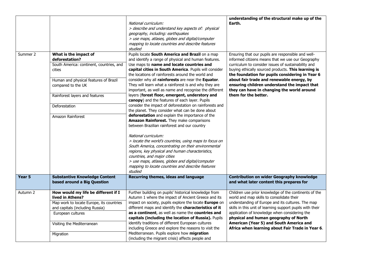|          |                                                                                                                                                                                                        | National curriculum:<br>> describe and understand key aspects of: physical<br>geography, including: earthquakes<br>> use maps, atlases, globes and digital/computer<br>mapping to locate countries and describe features<br>studied                                                                                                                                                                                                                                                                                                                                                                                                                          | understanding of the structural make up of the<br>Earth.                                                                                                                                                                                                                                                                                                                                                                                    |
|----------|--------------------------------------------------------------------------------------------------------------------------------------------------------------------------------------------------------|--------------------------------------------------------------------------------------------------------------------------------------------------------------------------------------------------------------------------------------------------------------------------------------------------------------------------------------------------------------------------------------------------------------------------------------------------------------------------------------------------------------------------------------------------------------------------------------------------------------------------------------------------------------|---------------------------------------------------------------------------------------------------------------------------------------------------------------------------------------------------------------------------------------------------------------------------------------------------------------------------------------------------------------------------------------------------------------------------------------------|
| Summer 2 | What is the impact of<br>deforestation?<br>South America: continent, countries, and<br>cities<br>Human and physical features of Brazil<br>compared to the UK<br>Rainforest layers and features         | Pupils locate South America and Brazil on a map<br>and identify a range of physical and human features.<br>Use maps to name and locate countries and<br>capital cities in South America. Pupils will consider<br>the locations of rainforests around the world and<br>consider why all rainforests are near the Equator.<br>They will learn what a rainforest is and why they are<br>important, as well as name and recognise the different<br>layers (forest floor, emergent, understory and                                                                                                                                                                | Ensuring that our pupils are responsible and well-<br>informed citizens means that we use our Geography<br>curriculum to consider issues of sustainability and<br>buying ethically sourced products. This learning is<br>the foundation for pupils considering in Year 6<br>about fair trade and renewable energy, by<br>ensuring children understand the impact that<br>they can have in changing the world around<br>them for the better. |
|          | Deforestation<br>Amazon Rainforest                                                                                                                                                                     | canopy) and the features of each layer. Pupils<br>consider the impact of deforestation on rainforests and<br>the planet. They consider what can be done about<br>deforestation and explain the importance of the<br>Amazon Rainforest. They make comparisons<br>between Brazilian rainforest and our country<br>National curriculum:<br>> locate the world's countries, using maps to focus on<br>South America, concentrating on their environmental<br>regions, key physical and human characteristics,<br>countries, and major cities<br>> use maps, atlases, globes and digital/computer<br>mapping to locate countries and describe features<br>studied |                                                                                                                                                                                                                                                                                                                                                                                                                                             |
| Year 5   | <b>Substantive Knowledge Content</b><br>based around a Big Question                                                                                                                                    | Recurring themes, ideas and language                                                                                                                                                                                                                                                                                                                                                                                                                                                                                                                                                                                                                         | <b>Contribution on wider Geography knowledge</b><br>and what later content this prepares for                                                                                                                                                                                                                                                                                                                                                |
| Autumn 2 | How would my life be different if I<br>lived in Athens?<br>Map work to locate Europe, its countries<br>and capitals (including Russia)<br>European cultures<br>Visiting the Mediterranean<br>Migration | Further building on pupils' historical knowledge from<br>Autumn 1 where the impact of Ancient Greece and its<br>impact on society, pupils explore the locate Europe on<br>different maps and identify the characteristics of it<br>as a continent, as well as name the countries and<br>capitals (including the location of Russia). Pupils<br>identify traditions of different European cultures<br>including Greece and explore the reasons to visit the<br>Mediterranean. Pupils explore how migration<br>(including the migrant crisis) affects people and                                                                                               | Children use prior knowledge of the continents of the<br>world and map skills to consolidate their<br>understanding of Europe and its cultures. The map<br>skills in this unit of learning support pupils with their<br>application of knowledge when considering the<br>physical and human geography of North<br>American (Year 5) and South America and<br>Africa when learning about Fair Trade in Year 6.                               |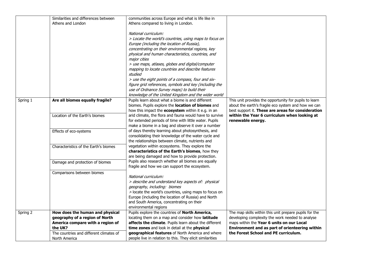|          | Similarities and differences between<br>Athens and London                                                                                                                    | communities across Europe and what is life like in<br>Athens compared to living in London.<br>National curriculum:<br>> Locate the world's countries, using maps to focus on<br>Europe (including the location of Russia),<br>concentrating on their environmental regions, key<br>physical and human characteristics, countries, and<br>major cities<br>> use maps, atlases, globes and digital/computer<br>mapping to locate countries and describe features |                                                                                                                                                                                                                                                   |
|----------|------------------------------------------------------------------------------------------------------------------------------------------------------------------------------|----------------------------------------------------------------------------------------------------------------------------------------------------------------------------------------------------------------------------------------------------------------------------------------------------------------------------------------------------------------------------------------------------------------------------------------------------------------|---------------------------------------------------------------------------------------------------------------------------------------------------------------------------------------------------------------------------------------------------|
|          |                                                                                                                                                                              | studied<br>> use the eight points of a compass, four and six-<br>figure grid references, symbols and key (including the<br>use of Ordnance Survey maps) to build their<br>knowledge of the United Kingdom and the wider world                                                                                                                                                                                                                                  |                                                                                                                                                                                                                                                   |
| Spring 1 | Are all biomes equally fragile?                                                                                                                                              | Pupils learn about what a biome is and different<br>biomes. Pupils explore the location of biomes and<br>how this impact the ecosystem within it e.g. in an                                                                                                                                                                                                                                                                                                    | This unit provides the opportunity for pupils to learn<br>about the earth's fragile eco system and how we can<br>best support it. These are areas for consideration                                                                               |
|          | Location of the Earth's biomes                                                                                                                                               | arid climate, the flora and fauna would have to survive<br>for extended periods of time with little water. Pupils<br>make a biome in a bag and observe it over a number                                                                                                                                                                                                                                                                                        | within the Year 6 curriculum when looking at<br>renewable energy.                                                                                                                                                                                 |
|          | Effects of eco-systems                                                                                                                                                       | of days thereby learning about photosynthesis, and<br>consolidating their knowledge of the water cycle and<br>the relationships between climate, nutrients and                                                                                                                                                                                                                                                                                                 |                                                                                                                                                                                                                                                   |
|          | Characteristics of the Earth's biomes                                                                                                                                        | vegetation within ecosystems. They explore the<br>characteristics of the Earth's biomes, how they<br>are being damaged and how to provide protection.                                                                                                                                                                                                                                                                                                          |                                                                                                                                                                                                                                                   |
|          | Damage and protection of biomes                                                                                                                                              | Pupils also research whether all biomes are equally<br>fragile and how we can support the ecosystem.                                                                                                                                                                                                                                                                                                                                                           |                                                                                                                                                                                                                                                   |
|          | Comparisons between biomes                                                                                                                                                   | National curriculum:<br>> describe and understand key aspects of: physical<br>geography, including: biomes<br>> locate the world's countries, using maps to focus on<br>Europe (including the location of Russia) and North<br>and South America, concentrating on their<br>environmental regions                                                                                                                                                              |                                                                                                                                                                                                                                                   |
| Spring 2 | How does the human and physical<br>geography of a region of North<br>America compare with a region of<br>the UK?<br>The countries and different climates of<br>North America | Pupils explore the countries of North America,<br>locating them on a map and consider how latitude<br>affects the climate. Pupils learn about the different<br>time zones and look in detail at the physical<br>geographical features of North America and where<br>people live in relation to this. They elicit similarities                                                                                                                                  | The map skills within this unit prepare pupils for the<br>developing complexity the work needed to analyse<br>maps within the Year 6 units on our Local<br>Environment and as part of orienteering within<br>the Forest School and PE curriculum. |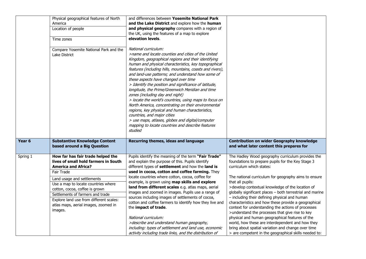|                   | Physical geographical features of North<br>America<br>Location of people<br>Time zones<br>Compare Yosemite National Park and the<br>Lake District                                                                                                                                                                                                              | and differences between Yosemite National Park<br>and the Lake District and explore how the human<br>and physical geography compares with a region of<br>the UK, using the features of a map to explore<br>elevation levels.<br>National curriculum:<br>>name and locate counties and cities of the United<br>Kingdom, geographical regions and their identifying<br>human and physical characteristics, key topographical<br>features (including hills, mountains, coasts and rivers),<br>and land-use patterns; and understand how some of<br>these aspects have changed over time<br>> Identify the position and significance of latitude,<br>longitude, the Prime/Greenwich Meridian and time<br>zones (including day and night)<br>> locate the world's countries, using maps to focus on<br>North America, concentrating on their environmental<br>regions, key physical and human characteristics,<br>countries, and major cities<br>> use maps, atlases, globes and digital/computer<br>mapping to locate countries and describe features<br>studied |                                                                                                                                                                                                                                                                                                                                                                                                                                                                                                                                                                                                                                                                                                                                                                         |
|-------------------|----------------------------------------------------------------------------------------------------------------------------------------------------------------------------------------------------------------------------------------------------------------------------------------------------------------------------------------------------------------|--------------------------------------------------------------------------------------------------------------------------------------------------------------------------------------------------------------------------------------------------------------------------------------------------------------------------------------------------------------------------------------------------------------------------------------------------------------------------------------------------------------------------------------------------------------------------------------------------------------------------------------------------------------------------------------------------------------------------------------------------------------------------------------------------------------------------------------------------------------------------------------------------------------------------------------------------------------------------------------------------------------------------------------------------------------|-------------------------------------------------------------------------------------------------------------------------------------------------------------------------------------------------------------------------------------------------------------------------------------------------------------------------------------------------------------------------------------------------------------------------------------------------------------------------------------------------------------------------------------------------------------------------------------------------------------------------------------------------------------------------------------------------------------------------------------------------------------------------|
| Year <sub>6</sub> | <b>Substantive Knowledge Content</b><br>based around a Big Question                                                                                                                                                                                                                                                                                            | Recurring themes, ideas and language                                                                                                                                                                                                                                                                                                                                                                                                                                                                                                                                                                                                                                                                                                                                                                                                                                                                                                                                                                                                                         | <b>Contribution on wider Geography knowledge</b><br>and what later content this prepares for                                                                                                                                                                                                                                                                                                                                                                                                                                                                                                                                                                                                                                                                            |
| Spring 1          | How far has fair trade helped the<br>lives of small hold farmers in South<br><b>America and Africa?</b><br>Fair Trade<br>Land usage and settlements<br>Use a map to locate countries where<br>cotton, cocoa, coffee is grown<br>Settlements of farmers and trade<br>Explore land use from different scales:<br>atlas maps, aerial images, zoomed in<br>images. | Pupils identify the meaning of the term "Fair Trade"<br>and explain the purpose of this. Pupils identify<br>different types of settlement and how the land is<br>used in cocoa, cotton and coffee farming. They<br>locate countries where cotton, cocoa, coffee for<br>example, is grown using map skills and explore<br>land from different scales e.g. atlas maps, aerial<br>images and zoomed in images. Pupils use a range of<br>sources including images of settlements of cocoa,<br>cotton and coffee farmers to identify how they live and<br>the impact of trade.<br>National curriculum:<br>>describe and understand human geography,<br>including: types of settlement and land use, economic<br>activity including trade links, and the distribution of                                                                                                                                                                                                                                                                                           | The Hadley Wood geography curriculum provides the<br>foundations to prepare pupils for the Key Stage 3<br>curriculum which states:<br>The national curriculum for geography aims to ensure<br>that all pupils:<br>>develop contextual knowledge of the location of<br>globally significant places - both terrestrial and marine<br>- including their defining physical and human<br>characteristics and how these provide a geographical<br>context for understanding the actions of processes<br>>understand the processes that give rise to key<br>physical and human geographical features of the<br>world, how these are interdependent and how they<br>bring about spatial variation and change over time<br>> are competent in the geographical skills needed to: |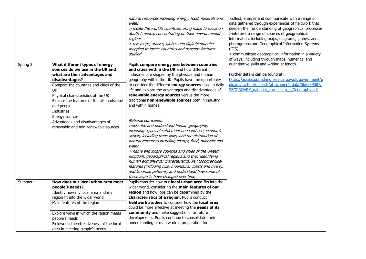|          |                                                                                                                                                                 | natural resources including energy, food, minerals and<br>water<br>> locate the world's countries, using maps to focus on<br>South America, concentrating on their environmental<br>regions<br>> use maps, atlases, globes and digital/computer<br>mapping to locate countries and describe features<br>studied                                                        | collect, analyse and communicate with a range of<br>data gathered through experiences of fieldwork that<br>deepen their understanding of geographical processes<br>>interpret a range of sources of geographical<br>information, including maps, diagrams, globes, aerial<br>photographs and Geographical Information Systems<br>(GIS)<br>> communicate geographical information in a variety<br>of ways, including through maps, numerical and |
|----------|-----------------------------------------------------------------------------------------------------------------------------------------------------------------|------------------------------------------------------------------------------------------------------------------------------------------------------------------------------------------------------------------------------------------------------------------------------------------------------------------------------------------------------------------------|-------------------------------------------------------------------------------------------------------------------------------------------------------------------------------------------------------------------------------------------------------------------------------------------------------------------------------------------------------------------------------------------------------------------------------------------------|
| Spring 2 | What different types of energy<br>sources do we use in the UK and<br>what are their advantages and<br>disadvantages?<br>Compare the countries and cities of the | Pupils compare energy use between countries<br>and cities within the UK and how different<br>industries are shaped by the physical and human<br>geography within the UK. Pupils have the opportunity<br>to consider the different energy sources used in daily                                                                                                         | quantitative skills and writing at length.<br>Further details can be found at:<br>https://assets.publishing.service.gov.uk/government/u<br>ploads/system/uploads/attachment_data/file/239087/                                                                                                                                                                                                                                                   |
|          | <b>UK</b><br>Physical characteristics of the UK<br>Explore the features of the UK landscape<br>and people<br><b>Industries</b>                                  | life and explore the advantages and disadvantages of<br>renewable energy sources versus the more<br>traditional nonrenewable sources both in industry<br>and within homes.                                                                                                                                                                                             | SECONDARY national curriculum - Geography.pdf                                                                                                                                                                                                                                                                                                                                                                                                   |
|          | Energy sources<br>Advantages and disadvantages of<br>renewable and non-renewable sources                                                                        | National curriculum:<br>>describe and understand human geography,<br>including: types of settlement and land use, economic<br>activity including trade links, and the distribution of<br>natural resources including energy, food, minerals and<br>water<br>> name and locate counties and cities of the United<br>Kingdom, geographical regions and their identifying |                                                                                                                                                                                                                                                                                                                                                                                                                                                 |
|          |                                                                                                                                                                 | human and physical characteristics, key topographical<br>features (including hills, mountains, coasts and rivers),<br>and land-use patterns; and understand how some of<br>these aspects have changed over time                                                                                                                                                        |                                                                                                                                                                                                                                                                                                                                                                                                                                                 |
| Summer 1 | How does our local urban area meet<br>people's needs?<br>Identify how my local area and my                                                                      | Pupils consider how our local urban area fits into the<br>wider world, considering the main features of our<br>region and how jobs can be determined by the                                                                                                                                                                                                            |                                                                                                                                                                                                                                                                                                                                                                                                                                                 |
|          | region fit into the wider world<br>Main features of the region                                                                                                  | characteristics of a region. Pupils conduct<br>fieldwork studies to consider how the local area<br>could be more effective at meeting the needs of its                                                                                                                                                                                                                 |                                                                                                                                                                                                                                                                                                                                                                                                                                                 |
|          | Explore ways in which the region meets<br>people's needs<br>Fieldwork: the effectiveness of the local<br>area in meeting people's needs.                        | community and make suggestions for future<br>developments. Pupils continue to consolidate their<br>understanding of map work in preparation for                                                                                                                                                                                                                        |                                                                                                                                                                                                                                                                                                                                                                                                                                                 |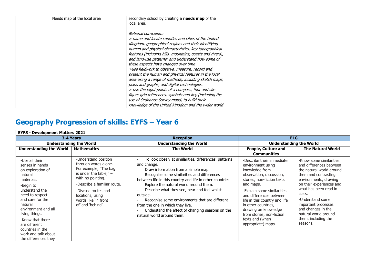| Needs map of the local area | secondary school by creating a <b>needs map</b> of the                                                                                                                                                                                                                                                                                                                                                                                                                                                                                                                                                                                                                                                                                                                                        |  |
|-----------------------------|-----------------------------------------------------------------------------------------------------------------------------------------------------------------------------------------------------------------------------------------------------------------------------------------------------------------------------------------------------------------------------------------------------------------------------------------------------------------------------------------------------------------------------------------------------------------------------------------------------------------------------------------------------------------------------------------------------------------------------------------------------------------------------------------------|--|
|                             | local area.                                                                                                                                                                                                                                                                                                                                                                                                                                                                                                                                                                                                                                                                                                                                                                                   |  |
|                             | National curriculum:<br>> name and locate counties and cities of the United<br>Kingdom, geographical regions and their identifying<br>human and physical characteristics, key topographical<br>features (including hills, mountains, coasts and rivers),<br>and land-use patterns; and understand how some of<br>these aspects have changed over time<br>>use fieldwork to observe, measure, record and<br>present the human and physical features in the local<br>area using a range of methods, including sketch maps,<br>plans and graphs, and digital technologies.<br>> use the eight points of a compass, four and six-<br>figure grid references, symbols and key (including the<br>use of Ordnance Survey maps) to build their<br>knowledge of the United Kingdom and the wider world |  |

## **Geography Progression of skills: EYFS – Year 6**

| <b>EYFS - Development Matters 2021</b>                                                                                                                                                                                                                                                                            |                                                                                                                                                                                                                                               |                                                                                                                                                                                                                                                                                                                                                                                                                                                                                                       |                                                                                                                                                                                                                                                                                                                                                        |                                                                                                                                                                                                                                                                                                                            |  |  |  |
|-------------------------------------------------------------------------------------------------------------------------------------------------------------------------------------------------------------------------------------------------------------------------------------------------------------------|-----------------------------------------------------------------------------------------------------------------------------------------------------------------------------------------------------------------------------------------------|-------------------------------------------------------------------------------------------------------------------------------------------------------------------------------------------------------------------------------------------------------------------------------------------------------------------------------------------------------------------------------------------------------------------------------------------------------------------------------------------------------|--------------------------------------------------------------------------------------------------------------------------------------------------------------------------------------------------------------------------------------------------------------------------------------------------------------------------------------------------------|----------------------------------------------------------------------------------------------------------------------------------------------------------------------------------------------------------------------------------------------------------------------------------------------------------------------------|--|--|--|
| 3-4 Years                                                                                                                                                                                                                                                                                                         |                                                                                                                                                                                                                                               | <b>Reception</b>                                                                                                                                                                                                                                                                                                                                                                                                                                                                                      | <b>ELG</b>                                                                                                                                                                                                                                                                                                                                             |                                                                                                                                                                                                                                                                                                                            |  |  |  |
| <b>Understanding the World</b>                                                                                                                                                                                                                                                                                    |                                                                                                                                                                                                                                               | <b>Understanding the World</b>                                                                                                                                                                                                                                                                                                                                                                                                                                                                        | <b>Understanding the World</b>                                                                                                                                                                                                                                                                                                                         |                                                                                                                                                                                                                                                                                                                            |  |  |  |
| <b>Understanding the World</b>                                                                                                                                                                                                                                                                                    | <b>Mathematics</b>                                                                                                                                                                                                                            | <b>The World</b>                                                                                                                                                                                                                                                                                                                                                                                                                                                                                      | People, Culture and<br><b>Communities</b>                                                                                                                                                                                                                                                                                                              | <b>The Natural World</b>                                                                                                                                                                                                                                                                                                   |  |  |  |
| -Use all their<br>senses in hands<br>on exploration of<br>natural<br>materials.<br>-Begin to<br>understand the<br>need to respect<br>and care for the<br>natural<br>environment and all<br>living things.<br>-Know that there<br>are different<br>countries in the<br>work and talk about<br>the differences they | -Understand position<br>through words alone.<br>For example, "The bag<br>is under the table," $-$<br>with no pointing.<br>-Describe a familiar route.<br>-Discuss routes and<br>locations, using<br>words like 'in front<br>of' and 'behind'. | To look closely at similarities, differences, patterns<br>and change.<br>Draw information from a simple map.<br>Recognise some similarities and differences<br>between life in this country and life in other countries<br>Explore the natural world around them.<br>Describe what they see, hear and feel whilst<br>outside.<br>Recognise some environments that are different<br>from the one in which they live.<br>Understand the effect of changing seasons on the<br>natural world around them. | -Describe their immediate<br>environment using<br>knowledge from<br>observation, discussion,<br>stories, non-fiction texts<br>and maps.<br>-Explain some similarities<br>and differences between<br>life in this country and life<br>in other countries,<br>drawing on knowledge<br>from stories, non-fiction<br>texts and (when<br>appropriate) maps. | -Know some similarities<br>and differences between<br>the natural world around<br>them and contrasting<br>environments, drawing<br>on their experiences and<br>what has been read in<br>class.<br>-Understand some<br>important processes<br>and changes in the<br>natural world around<br>them, including the<br>seasons. |  |  |  |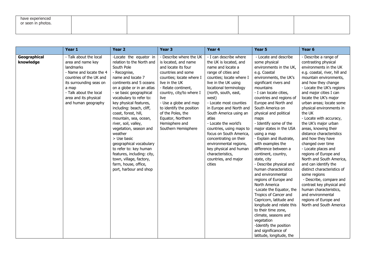| have experienced<br>or seen in photos. |  |  |
|----------------------------------------|--|--|
|                                        |  |  |

|                           | Year 1                                                                                                                                                                                                                       | Year <sub>2</sub>                                                                                                                                                                                                                                                                                                                                                                                                                                                                                                                                                       | Year <sub>3</sub>                                                                                                                                                                                                                                                                                                                             | Year 4                                                                                                                                                                                                                                                                                                                                                                                                                                                                                                                 | Year <sub>5</sub>                                                                                                                                                                                                                                                                                                                                                                                                                                                                                                                                                                                                                                                                                                                                                                                                                                    | Year 6                                                                                                                                                                                                                                                                                                                                                                                                                                                                                                                                                                                                                                                                                                                                                                     |
|---------------------------|------------------------------------------------------------------------------------------------------------------------------------------------------------------------------------------------------------------------------|-------------------------------------------------------------------------------------------------------------------------------------------------------------------------------------------------------------------------------------------------------------------------------------------------------------------------------------------------------------------------------------------------------------------------------------------------------------------------------------------------------------------------------------------------------------------------|-----------------------------------------------------------------------------------------------------------------------------------------------------------------------------------------------------------------------------------------------------------------------------------------------------------------------------------------------|------------------------------------------------------------------------------------------------------------------------------------------------------------------------------------------------------------------------------------------------------------------------------------------------------------------------------------------------------------------------------------------------------------------------------------------------------------------------------------------------------------------------|------------------------------------------------------------------------------------------------------------------------------------------------------------------------------------------------------------------------------------------------------------------------------------------------------------------------------------------------------------------------------------------------------------------------------------------------------------------------------------------------------------------------------------------------------------------------------------------------------------------------------------------------------------------------------------------------------------------------------------------------------------------------------------------------------------------------------------------------------|----------------------------------------------------------------------------------------------------------------------------------------------------------------------------------------------------------------------------------------------------------------------------------------------------------------------------------------------------------------------------------------------------------------------------------------------------------------------------------------------------------------------------------------------------------------------------------------------------------------------------------------------------------------------------------------------------------------------------------------------------------------------------|
| Geographical<br>knowledge | - Talk about the local<br>area and name key<br>landmarks<br>- Name and locate the 4<br>countries of the UK and<br>its surrounding seas on<br>a map<br>- Talk about the local<br>area and its physical<br>and human geography | -Locate the equator in<br>relation to the North and<br>South Pole<br>- Recognise,<br>name and locate 7<br>continents and 5 oceans<br>on a globe or in an atlas<br>- se basic geographical<br>vocabulary to refer to:<br>key physical features,<br>including: beach, cliff,<br>coast, forest, hill,<br>mountain, sea, ocean,<br>river, soil, valley,<br>vegetation, season and<br>weather<br>> Use basic<br>geographical vocabulary<br>to refer to: key human<br>features, including: city,<br>town, village, factory,<br>farm, house, office,<br>port, harbour and shop | - Describe where the UK<br>is located, and name<br>and locate its four<br>countries and some<br>counties; locate where I<br>live in the UK<br>- Relate continent,<br>country, city/to where I<br>live<br>- Use a globe and map<br>to identify the position<br>of the Poles, the<br>Equator, Northern<br>Hemisphere and<br>Southern Hemisphere | - I can describe where<br>the UK is located, and<br>name and locate a<br>range of cities and<br>counties; locate where I<br>live in the UK using<br>locational terminology<br>(north, south, east,<br>west)<br>- Locate most counties<br>in Europe and North and<br>South America using an<br>atlas<br>- Locate the world's<br>countries, using maps to<br>focus on South America,<br>concentrating on their<br>environmental regions,<br>key physical and human<br>characteristics,<br>countries, and major<br>cities | - Locate and describe<br>some physical<br>environments in the UK,<br>e.g. Coastal<br>environments, the UK's<br>significant rivers and<br>mountains<br>- I can locate cities,<br>countries and regions of<br>Europe and North and<br>South America on<br>physical and political<br>maps<br>- Identify some of the<br>major states in the USA<br>using a map<br>- Explain and illustrate,<br>with examples the<br>difference between a<br>continent, country,<br>state, city<br>- Describe physical and<br>human characteristics<br>and environmental<br>regions of Europe and<br>North America<br>-Locate the Equator, the<br>Tropics of Cancer and<br>Capricorn, latitude and<br>longitude and relate this<br>to their time zone,<br>climate, seasons and<br>vegetation<br>-Identify the position<br>and significance of<br>latitude, longitude, the | - Describe a range of<br>contrasting physical<br>environments in the UK<br>e.g. coastal, river, hill and<br>mountain environments,<br>and how they change<br>- Locate the UK's regions<br>and major cities I can<br>locate the UK's major<br>urban areas; locate some<br>physical environments in<br>the UK<br>- Locate with accuracy,<br>the UK's major urban<br>areas, knowing their<br>distance characteristics<br>and how they have<br>changed over time<br>- Locate places and<br>regions of Europe and<br>North and South America,<br>and can identify the<br>distinct characteristics of<br>some regions<br>- Describe, compare and<br>contrast key physical and<br>human characteristics,<br>and environmental<br>regions of Europe and<br>North and South America |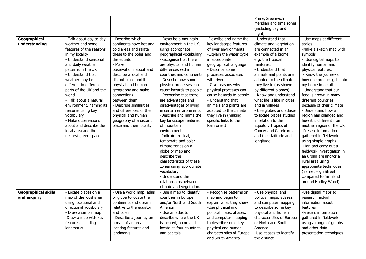| Geographical<br>understanding             | - Talk about day to day<br>weather and some<br>features of the seasons<br>in my locality<br>- Understand seasonal<br>and daily weather<br>patterns in the UK<br>- Understand that<br>weather may be<br>different in different<br>parts of the UK and the<br>world<br>- Talk about a natural<br>environment, naming its<br>features using key<br>vocabulary<br>- Make observations<br>about and describe the<br>local area and the<br>nearest green space | - Describe which<br>continents have hot and<br>cold areas and relate<br>these to the poles and<br>the equator<br>- Make<br>observations about and<br>describe a local and<br>distant place and its<br>physical and human<br>geography and make<br>connections<br>between them<br>- Describe similarities<br>and differences of the<br>physical and human<br>geography of a distant<br>place and their locality | - Describe a mountain<br>environment in the UK,<br>using appropriate<br>geographical vocabulary<br>-Recognise that there<br>are physical and human<br>differences within<br>countries and continents<br>- Describe how some<br>physical processes can<br>cause hazards to people<br>- Recognise that there<br>are advantages and<br>disadvantages of living<br>in certain environments<br>-Describe and name the<br>key landscape features<br>of mountain<br>environments<br>-Indicate tropical,<br>temperate and polar<br>climate zones on a<br>globe or map and<br>describe the | -Describe and name the<br>key landscape features<br>of river environments<br>-Explain the water cycle<br>in appropriate<br>geographical language<br>- Describe some<br>processes associated<br>with rivers<br>- Give reasons why<br>physical processes can<br>cause hazards to people<br>- Understand that<br>animals and plants are<br>adapted to the climate<br>they live in (making<br>specific links to the<br>Rainforest) | Prime/Greenwich<br>Meridian and time zones<br>(including day and<br>night)<br>- Understand that<br>climate and vegetation<br>are connected in an<br>example of a biome,<br>e.g. the tropical<br>rainforest<br>- Understand that<br>animals and plants are<br>adapted to the climate<br>they live in (as shown<br>by different biomes)<br>- Know and understand<br>what life is like in cities<br>and in villages<br>- Use globes and atlases<br>to locate places studied<br>in relation to the<br>Equator, Tropics of<br>Cancer and Capricorn,<br>and their latitude and<br>longitude. | - Use maps at different<br>scales<br>-Make a sketch map with<br>symbols<br>- Use digital maps to<br>identify human and<br>physical features.<br>- Know the journey of<br>how one product gets into<br>my home in detail<br>- Understand that our<br>food is grown in many<br>different countries<br>because of their climate<br>- Understand how a<br>region has changed and<br>how it is different from<br>another region of the UK<br>-Present information<br>gathered in fieldwork<br>using simple graphs<br>-Plan and carry out a<br>fieldwork investigation in<br>an urban are and/or a |
|-------------------------------------------|----------------------------------------------------------------------------------------------------------------------------------------------------------------------------------------------------------------------------------------------------------------------------------------------------------------------------------------------------------------------------------------------------------------------------------------------------------|----------------------------------------------------------------------------------------------------------------------------------------------------------------------------------------------------------------------------------------------------------------------------------------------------------------------------------------------------------------------------------------------------------------|-----------------------------------------------------------------------------------------------------------------------------------------------------------------------------------------------------------------------------------------------------------------------------------------------------------------------------------------------------------------------------------------------------------------------------------------------------------------------------------------------------------------------------------------------------------------------------------|--------------------------------------------------------------------------------------------------------------------------------------------------------------------------------------------------------------------------------------------------------------------------------------------------------------------------------------------------------------------------------------------------------------------------------|----------------------------------------------------------------------------------------------------------------------------------------------------------------------------------------------------------------------------------------------------------------------------------------------------------------------------------------------------------------------------------------------------------------------------------------------------------------------------------------------------------------------------------------------------------------------------------------|----------------------------------------------------------------------------------------------------------------------------------------------------------------------------------------------------------------------------------------------------------------------------------------------------------------------------------------------------------------------------------------------------------------------------------------------------------------------------------------------------------------------------------------------------------------------------------------------|
|                                           |                                                                                                                                                                                                                                                                                                                                                                                                                                                          |                                                                                                                                                                                                                                                                                                                                                                                                                | characteristics of these<br>zones using appropriate<br>vocabulary<br>- Understand the<br>relationships between<br>climate and vegetation.                                                                                                                                                                                                                                                                                                                                                                                                                                         |                                                                                                                                                                                                                                                                                                                                                                                                                                |                                                                                                                                                                                                                                                                                                                                                                                                                                                                                                                                                                                        | rural area using<br>appropriate techniques<br>(Barnet High Street<br>compared to farmland<br>around Hadley Wood)                                                                                                                                                                                                                                                                                                                                                                                                                                                                             |
| <b>Geographical skills</b><br>and enquiry | - Locate places on a<br>map of the local area<br>using locational and<br>directional vocabulary<br>- Draw a simple map<br>-Draw a map with key<br>features including<br>landmarks                                                                                                                                                                                                                                                                        | - Use a world map, atlas<br>or globe to locate the<br>continents and oceans<br>relative to the equator<br>and poles<br>- Describe a journey on<br>a map of an area<br>locating features and<br><b>landmarks</b>                                                                                                                                                                                                | - Use a map to identify<br>countries in Europe<br>and/or North and South<br>America<br>- Use an atlas to<br>describe where the UK<br>is located, name and<br>locate its four countries<br>and capitals                                                                                                                                                                                                                                                                                                                                                                            | - Recognise patterns on<br>map and begin to<br>explain what they show<br>-Use physical and<br>political maps, atlases,<br>and computer mapping<br>to describe some key<br>physical and human<br>characteristics of Europe<br>and South America                                                                                                                                                                                 | - Use physical and<br>political maps, atlases,<br>and computer mapping<br>to describe some key<br>physical and human<br>characteristics of Europe<br>or North and South<br>America<br>-Use atlases to identify<br>the distinct                                                                                                                                                                                                                                                                                                                                                         | -Use digital maps to<br>research factual<br>information about<br>features<br>-Present information<br>gathered in fieldwork<br>using a range of graphs<br>and other data<br>presentation techniques                                                                                                                                                                                                                                                                                                                                                                                           |